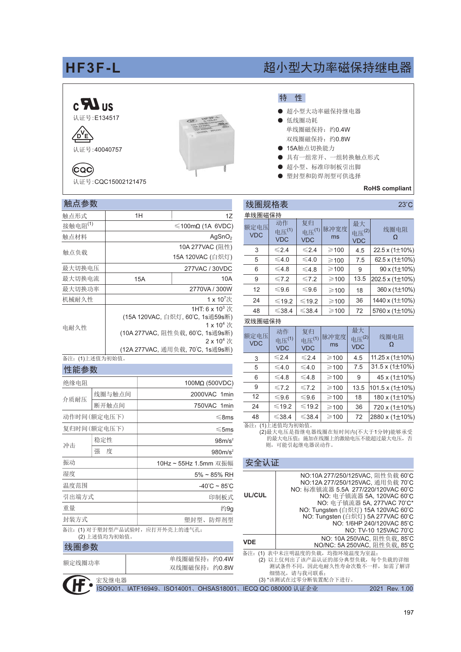# HF3F-L

### $c$   $\mathbf{F}$  us 认证号:E134517





(CQC) 认证号:CQC15002121475

#### 触点参数

| 触点形式                | 1H                                                                         | 1Z                                  |  |  |  |  |
|---------------------|----------------------------------------------------------------------------|-------------------------------------|--|--|--|--|
| 接触电阻 <sup>(1)</sup> |                                                                            | $\leq 100 \text{m}\Omega$ (1A 6VDC) |  |  |  |  |
| 触点材料                |                                                                            | AqSnO <sub>2</sub>                  |  |  |  |  |
|                     |                                                                            | 10A 277VAC (阻性)                     |  |  |  |  |
| 触点负载                |                                                                            | 15A 120VAC (白炽灯)                    |  |  |  |  |
| 最大切换电压              |                                                                            | 277VAC / 30VDC                      |  |  |  |  |
| 最大切换电流              | 15A<br>10A                                                                 |                                     |  |  |  |  |
| 最大切换功率              | 2770VA / 300W                                                              |                                     |  |  |  |  |
| 机械耐久性               |                                                                            | $1 \times 10^7$ 次                   |  |  |  |  |
|                     | 1HT: 6 x 10 <sup>3</sup> $\frac{1}{2}$<br>(15A 120VAC, 白炽灯, 60°C, 1s通59s断) |                                     |  |  |  |  |
| 电耐久性                | $1 \times 10^4$ 次<br>(10A 277VAC, 阻性负载, 60°C, 1s通9s断)<br>$2 \times 10^4$ 次 |                                     |  |  |  |  |
|                     |                                                                            | (12A 277VAC, 通用负载, 70°C, 1s通9s断)    |  |  |  |  |

#### 备注: (1)上述值为初始值。

|  | 性能参数 |  |
|--|------|--|

| 绝缘电阻<br>线圈与触点间<br>介质耐压<br>断开触点间<br>动作时间(额定电压下)<br>复归时间(额定电压下)<br>稳定性<br>冲击<br>强<br>度<br>振动<br>湿度<br>温度范围<br>引出端方式<br>印制板式<br>重量<br>封装方式<br>备注:(1) 对于塑封型产品试验时,应打开外壳上的透气孔;<br>(2) 上述值均为初始值。 |  |  |                                   |  |  |
|-------------------------------------------------------------------------------------------------------------------------------------------------------------------------------------------|--|--|-----------------------------------|--|--|
|                                                                                                                                                                                           |  |  | 100MΩ (500VDC)                    |  |  |
|                                                                                                                                                                                           |  |  | 2000VAC 1min                      |  |  |
|                                                                                                                                                                                           |  |  | 750VAC 1min                       |  |  |
|                                                                                                                                                                                           |  |  | $\leq$ 8ms                        |  |  |
|                                                                                                                                                                                           |  |  | $\leq$ 5ms                        |  |  |
|                                                                                                                                                                                           |  |  | 98m/s <sup>2</sup>                |  |  |
|                                                                                                                                                                                           |  |  | 980m/s <sup>2</sup>               |  |  |
|                                                                                                                                                                                           |  |  | 10Hz ~ 55Hz 1.5mm 双振幅             |  |  |
|                                                                                                                                                                                           |  |  | 5% ~ 85% RH                       |  |  |
|                                                                                                                                                                                           |  |  | $-40^{\circ}$ C ~ 85 $^{\circ}$ C |  |  |
|                                                                                                                                                                                           |  |  |                                   |  |  |
|                                                                                                                                                                                           |  |  | 约9g                               |  |  |
|                                                                                                                                                                                           |  |  | 塑封型、防焊剂型                          |  |  |
|                                                                                                                                                                                           |  |  |                                   |  |  |

#### 线圈参数

| 额定线圈功率 |           |                                        | 单线圈磁保持: 约0.4W<br>双线圈磁保持: 约0.8W |  |
|--------|-----------|----------------------------------------|--------------------------------|--|
|        | 【■■】宏发继电器 |                                        |                                |  |
|        |           | ISO9001、IATF16949、ISO14001、OHSAS18001、 |                                |  |

# 超小型大功率磁保持继电器

### 特性

- 超小型大功率磁保持继电器
- 低线圈功耗 单线圈磁保持: 约0.4W 双线圈磁保持: 约0.8W
- 15A触点切换能力
- 具有一组常开、一组转换触点形式
- 超小型、标准印制板引出脚
- 塑封型和防焊剂型可供选择

#### **RoHS** compliant

#### 线圈规格表  $23^{\circ}$ C 单线圈磁保持 动作 复归 最大 电压(1) 脉冲宽度 额定电压 电压<sup>(1)</sup> 线圈电阻 电压<sup>(2)</sup> **VDC**  $ms$  $\Omega$ **VDC VDC VDC**  $\overline{3}$  $\leq 2.4$  $\leq 2.4$  $\geqslant$  100  $4.5$  $22.5 \times (1 \pm 10\%)$  $\overline{5}$  $\leq 4.0$  $\leq 4.0$  $7.5$ 62.5 x  $(1\pm10\%)$  $\geqslant$  100  $\overline{\leq 4.8}$  $\overline{6}$  $\geqslant$  100  $\overline{9}$  $90 \times (1 \pm 10\%)$  $\leq 7.2$  $\geqslant$  100 13.5 202.5 x (1±10%) 9  $\leq 7.2$  $12$  $\geqslant$  100 360 x (1±10%) 18  $24$ 1440 x  $(1\pm10\%)$  $≤19.2$  $\leqslant$  19.2  $\geqslant$  100 36 48  $\leq$ 38.4  $\geqslant$  100 72 5760 x (1±10%)

#### 双线圈磁保持

| 额定电压<br><b>VDC</b> | 动作<br>电压 <sup>(1)</sup><br><b>VDC</b> | 复归<br>电压 <sup>(1)</sup><br><b>VDC</b> | 脉冲宽度<br>ms | 最大<br>电压(2)<br><b>VDC</b> | 线圈电阻                        |
|--------------------|---------------------------------------|---------------------------------------|------------|---------------------------|-----------------------------|
| 3                  | $\leq 2.4$                            | $\leq 2.4$                            | $\geq 100$ | 4.5                       | 11.25 x $(1\pm10\%)$        |
| 5                  | $\leq 4.0$                            | $\leq 4.0$                            | $\geq 100$ | 7.5                       | 31.5 x (1 $\pm$ 10%)        |
| 6                  | ≤4.8                                  | ≤4.8                                  | $\geq 100$ | 9                         | 45 x (1±10%)                |
| 9                  | $\leq 7.2$                            | $\leq 7.2$                            | $\geq 100$ | 13.5                      | $101.5 \times (1 \pm 10\%)$ |
| 12                 | $\leq 9.6$                            | $\leq 9.6$                            | $\geq 100$ | 18                        | 180 x (1±10%)               |
| 24                 | ≤19.2                                 | $\leq 19.2$                           | $\geq 100$ | 36                        | 720 x (1±10%)               |
| 48                 | $\leq 38.4$                           | $\leq$ 38.4                           | $\geq 100$ | 72                        | 2880 x (1±10%)              |

备注: (1)上述值均为初始值。

(2)最大电压是指继电器线圈在短时间内(不大于1分钟)能够承受 的最大电压值; 施加在线圈上的激励电压不能超过最大电压, 否 则,可能引起继电器误动作。

| 安全认证                                                                                                                                       |                                                                                                                                                                                       |                                                                                                               |  |  |  |
|--------------------------------------------------------------------------------------------------------------------------------------------|---------------------------------------------------------------------------------------------------------------------------------------------------------------------------------------|---------------------------------------------------------------------------------------------------------------|--|--|--|
| <b>UL/CUL</b>                                                                                                                              | NO:10A 277/250/125VAC. 阻性负载 60°C<br>NO:12A 277/250/125VAC. 通用负载 70°C<br>NO: 标准镇流器 5.5A 277/220/120VAC 60°C<br>NO: Tungsten (白炽灯) 15A 120VAC 60°C<br>NO: Tungsten (白炽灯) 5A 277VAC 60°C | NO: 电子镇流器 5A, 120VAC 60°C<br>NO: 电子镇流器 5A. 277VAC 70°C*<br>NO: 1/6HP 240/120VAC 85°C<br>NO: TV-10 125VAC 70°C |  |  |  |
| <b>VDE</b>                                                                                                                                 | NO/NC: 5A 250VAC, 阻性负载, 85°C                                                                                                                                                          | NO: 10A 250VAC. 阻性负载. 85°C                                                                                    |  |  |  |
| 备注: (1) 表中未注明温度的负载, 均指环境温度为室温;<br>(2) 以上仅列出了该产品认证的部分典型负载, 每个负载的详细<br>测试条件不同, 因此电耐久性寿命次数不一样, 如需了解详<br>细情况, 请与我司联系:<br>(3) *该测试在过零分断装置配合下进行。 |                                                                                                                                                                                       |                                                                                                               |  |  |  |
| IECO OC 080000 让证金业<br>2021 Rev 1                                                                                                          |                                                                                                                                                                                       |                                                                                                               |  |  |  |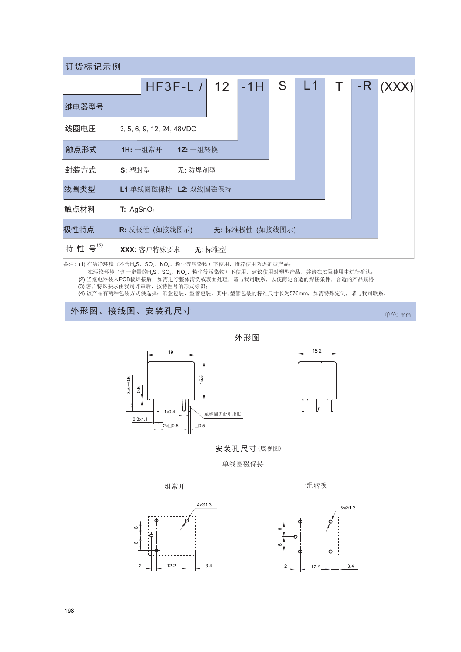| 订货标记示例 |                           |                   |  |                |   |    |  |      |       |
|--------|---------------------------|-------------------|--|----------------|---|----|--|------|-------|
|        |                           | $HF3F-L$ / 12 -1H |  |                | S | L1 |  | $-R$ | (XXX) |
| 继电器型号  |                           |                   |  |                |   |    |  |      |       |
| 线圈电压   | 3, 5, 6, 9, 12, 24, 48VDC |                   |  |                |   |    |  |      |       |
| 触点形式   | 1H: 一组常开                  | 12: 一组转换          |  |                |   |    |  |      |       |
| 封装方式   | S: 塑封型                    | 无:防焊剂型            |  |                |   |    |  |      |       |
| 线圈类型   | L1:单线圈磁保持 L2: 双线圈磁保持      |                   |  |                |   |    |  |      |       |
| 触点材料   | T: AgSnO <sub>2</sub>     |                   |  |                |   |    |  |      |       |
| 极性特点   | R: 反极性 (如接线图示)            |                   |  | 无:标准极性 (如接线图示) |   |    |  |      |       |
| 特性号(3) | XXX: 客户特殊要求 无: 标准型        |                   |  |                |   |    |  |      |       |

备注: (1) 在洁净环境 (不含H2S、SO2、NO2、粉尘等污染物) 下使用, 推荐使用防焊剂型产品;

在污染环境(含一定量的H2S、SO2、NO2、粉尘等污染物)下使用,建议使用封塑型产品,并请在实际使用中进行确认;

在行来小鬼 \ 古 \ 走里的n'25、5O2、NO2、初主寺行来初,下史用,建以使用封玺室厂品,开肩在头断使用于近行响认;<br>(2) 当继电器装入PCB板焊接后,如需进行整体清洗或表面处理,请与我司联系,以便商定合适的焊接条件,合适的产品规格;<br>(3) 客户特殊要求由我司评审后,按特性号的形式标识;<br>(4) 该产品有两种包装方式供选择:纸盒包装、型管包装。其中, 型管包装的标准尺寸长为576mm,如需特殊定制,请与我司联系。

## 外形图、接线图、安装孔尺寸

19 15.5  $3.5 + 0.5$  $0.5$  $1x0.4$ 单线圈无此引出脚  $0.3x1.1$  $2x \square 0.5$  $\Box$ 0.5

 $15.2$ 

单位: mm

安装孔尺寸(底视图)

外形图

单线圈磁保持

一组常开